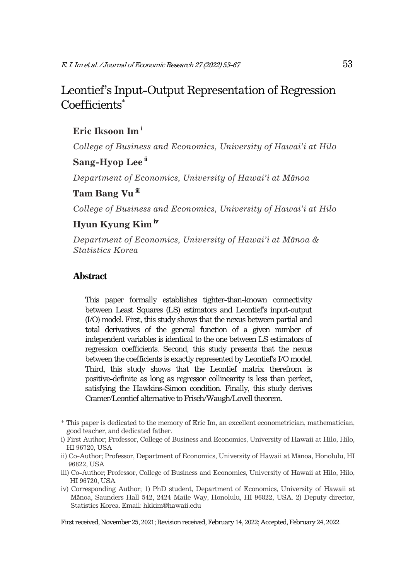## Leontief's Input-Output Representation of Regression Coefficients\*

### **Eric Iksoon Im**<sup>i</sup>

*College of Business and Economics, University of Hawai'i at Hilo* 

### **Sang-Hyop Lee<sup>ii</sup>**

*Department of Economics, University of Hawai'i at M*ā*noa* 

### Tam Bang Vu<sup>ii</sup>

*College of Business and Economics, University of Hawai'i at Hilo* 

### **Hyun Kyung Kim** iv

*Department of Economics, University of Hawai'i at M*ā*noa & Statistics Korea* 

#### **Abstract**

This paper formally establishes tighter-than-known connectivity between Least Squares (LS) estimators and Leontief's input-output (I/O) model. First, this study shows that the nexus between partial and total derivatives of the general function of a given number of independent variables is identical to the one between LS estimators of regression coefficients. Second, this study presents that the nexus between the coefficients is exactly represented by Leontief's I/O model. Third, this study shows that the Leontief matrix therefrom is positive-definite as long as regressor collinearity is less than perfect, satisfying the Hawkins-Simon condition. Finally, this study derives Cramer/Leontief alternative to Frisch/Waugh/Lovell theorem.

<sup>\*</sup> This paper is dedicated to the memory of Eric Im, an excellent econometrician, mathematician, good teacher, and dedicated father.

i) First Author; Professor, College of Business and Economics, University of Hawaii at Hilo, Hilo, HI 96720, USA

ii) Co-Author; Professor, Department of Economics, University of Hawaii at Mānoa, Honolulu, HI 96822, USA

iii) Co-Author; Professor, College of Business and Economics, University of Hawaii at Hilo, Hilo, HI 96720, USA

iv) Corresponding Author; 1) PhD student, Department of Economics, University of Hawaii at Mānoa, Saunders Hall 542, 2424 Maile Way, Honolulu, HI 96822, USA. 2) Deputy director, Statistics Korea. Email: hkkim@hawaii.edu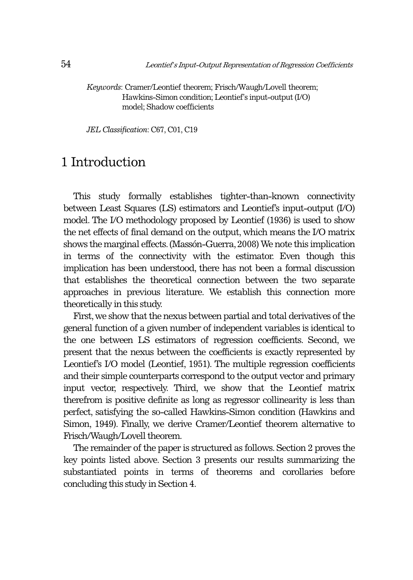*Keywords*: Cramer/Leontief theorem; Frisch/Waugh/Lovell theorem; Hawkins-Simon condition; Leontief's input-output (I/O) model; Shadow coefficients

*JEL Classification*: C67, C01, C19

# 1 Introduction

This study formally establishes tighter-than-known connectivity between Least Squares (LS) estimators and Leontief's input-output (I/O) model. The I/O methodology proposed by Leontief (1936) is used to show the net effects of final demand on the output, which means the I/O matrix shows the marginal effects. (Massón-Guerra, 2008) We note this implication in terms of the connectivity with the estimator. Even though this implication has been understood, there has not been a formal discussion that establishes the theoretical connection between the two separate approaches in previous literature. We establish this connection more theoretically in this study.

First, we show that the nexus between partial and total derivatives of the general function of a given number of independent variables is identical to the one between LS estimators of regression coefficients. Second, we present that the nexus between the coefficients is exactly represented by Leontief's I/O model (Leontief, 1951). The multiple regression coefficients and their simple counterparts correspond to the output vector and primary input vector, respectively. Third, we show that the Leontief matrix therefrom is positive definite as long as regressor collinearity is less than perfect, satisfying the so-called Hawkins-Simon condition (Hawkins and Simon, 1949). Finally, we derive Cramer/Leontief theorem alternative to Frisch/Waugh/Lovell theorem.

The remainder of the paper is structured as follows. Section 2 proves the key points listed above. Section 3 presents our results summarizing the substantiated points in terms of theorems and corollaries before concluding this study in Section 4.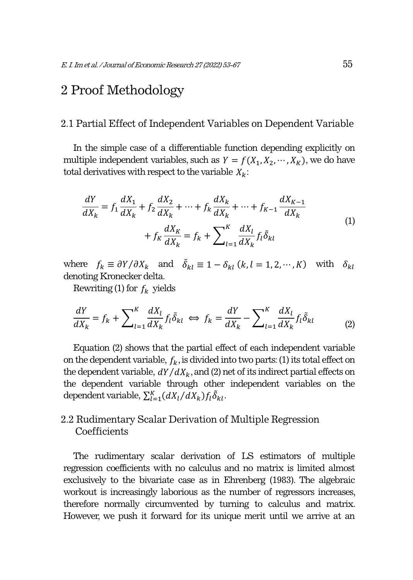## 2 Proof Methodology

#### 2.1 Partial Effect of Independent Variables on Dependent Variable

In the simple case of a differentiable function depending explicitly on multiple independent variables, such as  $Y = f(X_1, X_2, \dots, X_K)$ , we do have total derivatives with respect to the variable  $X_k$ :

$$
\frac{dY}{dX_k} = f_1 \frac{dX_1}{dX_k} + f_2 \frac{dX_2}{dX_k} + \dots + f_k \frac{dX_k}{dX_k} + \dots + f_{K-1} \frac{dX_{K-1}}{dX_k} + f_K \frac{dX_K}{dX_k} = f_k + \sum_{l=1}^{K} \frac{dX_l}{dX_k} f_l \tilde{\delta}_{kl}
$$
\n(1)

where  $f_k \equiv \partial Y / \partial X_k$  and  $\delta_{kl} \equiv 1 - \delta_{kl}$  (k, l = 1, 2, …, K) with  $\delta_{kl}$ denoting Kronecker delta.

Rewriting (1) for  $f_k$  yields

$$
\frac{dY}{dX_k} = f_k + \sum_{l=1}^{K} \frac{dX_l}{dX_k} f_l \tilde{\delta}_{kl} \iff f_k = \frac{dY}{dX_k} - \sum_{l=1}^{K} \frac{dX_l}{dX_k} f_l \tilde{\delta}_{kl} \tag{2}
$$

Equation (2) shows that the partial effect of each independent variable on the dependent variable,  $f_k$ , is divided into two parts: (1) its total effect on the dependent variable,  $dY/dX_k$ , and (2) net of its indirect partial effects on the dependent variable through other independent variables on the dependent variable,  $\sum_{l=1}^{K} (dX_l/dX_k) f_l \tilde{\delta}_{kl}$ .

### 2.2 Rudimentary Scalar Derivation of Multiple Regression **Coefficients**

The rudimentary scalar derivation of LS estimators of multiple regression coefficients with no calculus and no matrix is limited almost exclusively to the bivariate case as in Ehrenberg (1983). The algebraic workout is increasingly laborious as the number of regressors increases, therefore normally circumvented by turning to calculus and matrix. However, we push it forward for its unique merit until we arrive at an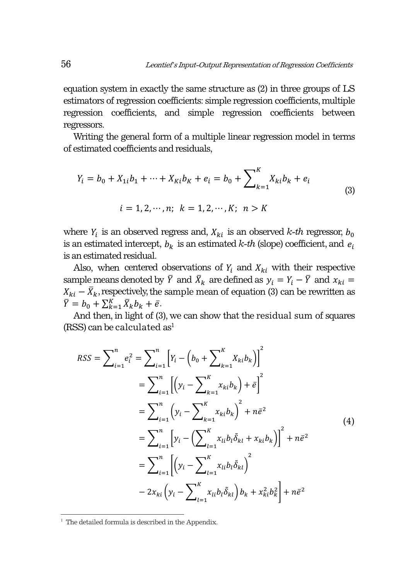equation system in exactly the same structure as (2) in three groups of LS estimators of regression coefficients: simple regression coefficients, multiple regression coefficients, and simple regression coefficients between regressors.

Writing the general form of a multiple linear regression model in terms of estimated coefficients and residuals,

$$
Y_i = b_0 + X_{1i}b_1 + \dots + X_{Ki}b_K + e_i = b_0 + \sum_{k=1}^{K} X_{ki}b_k + e_i
$$
  
\n
$$
i = 1, 2, \dots, n; \quad k = 1, 2, \dots, K; \quad n > K
$$
\n(3)

where  $Y_i$  is an observed regress and,  $X_{ki}$  is an observed *k-th* regressor,  $b_0$ is an estimated intercept,  $b_k$  is an estimated  $k$ -th (slope) coefficient, and  $e_i$ is an estimated residual.

Also, when centered observations of  $Y_i$  and  $X_{ki}$  with their respective sample means denoted by  $\bar{Y}$  and  $\bar{X}_k$  are defined as  $y_i = Y_i - \bar{Y}$  and  $x_{ki} =$  $X_{ki} - \bar{X}_k$ , respectively, the sample mean of equation (3) can be rewritten as  $\overline{Y} = b_0 + \sum_{k=1}^K \overline{X}_k b_k + \overline{e}.$ 

And then, in light of (3), we can show that the residual sum of squares  $(RSS)$  can be calculated as<sup>1</sup>

$$
RSS = \sum_{i=1}^{n} e_i^2 = \sum_{i=1}^{n} \left[ Y_i - \left( b_0 + \sum_{k=1}^{K} X_{ki} b_k \right) \right]^2
$$
  
\n
$$
= \sum_{i=1}^{n} \left[ \left( y_i - \sum_{k=1}^{K} x_{ki} b_k \right) + \bar{e} \right]^2
$$
  
\n
$$
= \sum_{i=1}^{n} \left( y_i - \sum_{k=1}^{K} x_{ki} b_k \right)^2 + n \bar{e}^2
$$
  
\n
$$
= \sum_{i=1}^{n} \left[ y_i - \left( \sum_{l=1}^{K} x_{li} b_l \tilde{\delta}_{kl} + x_{ki} b_k \right) \right]^2 + n \bar{e}^2
$$
  
\n
$$
= \sum_{i=1}^{n} \left[ \left( y_i - \sum_{l=1}^{K} x_{li} b_l \tilde{\delta}_{kl} \right)^2 \right]
$$
  
\n
$$
- 2x_{ki} \left( y_i - \sum_{l=1}^{K} x_{li} b_l \tilde{\delta}_{kl} \right) b_k + x_{ki}^2 b_k^2 \right] + n \bar{e}^2
$$
 (4)

<sup>&</sup>lt;sup>1</sup> The detailed formula is described in the Appendix.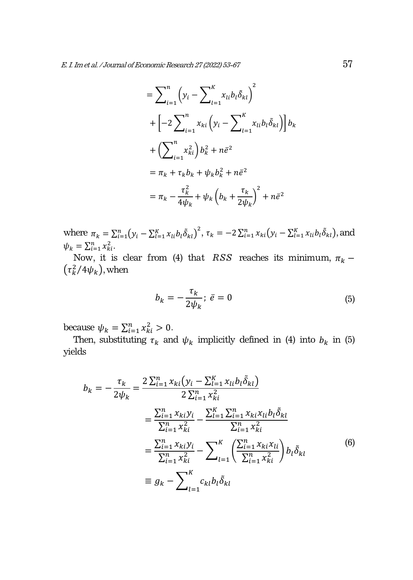$$
= \sum_{i=1}^{n} \left( y_i - \sum_{l=1}^{K} x_{li} b_l \tilde{\delta}_{kl} \right)^2
$$
  
+ 
$$
\left[ -2 \sum_{i=1}^{n} x_{ki} \left( y_i - \sum_{l=1}^{K} x_{li} b_l \tilde{\delta}_{kl} \right) \right] b_k
$$
  
+ 
$$
\left( \sum_{i=1}^{n} x_{ki}^2 \right) b_k^2 + n \bar{e}^2
$$
  
= 
$$
\pi_k + \tau_k b_k + \psi_k b_k^2 + n \bar{e}^2
$$
  
= 
$$
\pi_k - \frac{\tau_k^2}{4\psi_k} + \psi_k \left( b_k + \frac{\tau_k}{2\psi_k} \right)^2 + n \bar{e}^2
$$

where  $\pi_k = \sum_{i=1}^n (y_i - \sum_{l=1}^K x_{li} b_l \tilde{\delta}_{kl})^2$ ,  $\tau_k = -2 \sum_{i=1}^n x_{ki} (y_i - \sum_{l=1}^K x_{li} b_l \tilde{\delta}_{kl})$ , and  $\psi_k = \sum_{i=1}^n x_{ki}^2$ .

Now, it is clear from (4) that *RSS* reaches its minimum,  $\pi_k$  –  $(\tau_k^2/4\psi_k)$ , when

$$
b_k = -\frac{\tau_k}{2\psi_k}; \ \bar{e} = 0 \tag{5}
$$

because  $\psi_k = \sum_{i=1}^n x_{ki}^2 > 0$ .

Then, substituting  $\tau_k$  and  $\psi_k$  implicitly defined in (4) into  $b_k$  in (5) yields

$$
b_{k} = -\frac{\tau_{k}}{2\psi_{k}} = \frac{2\sum_{i=1}^{n} x_{ki} (y_{i} - \sum_{l=1}^{K} x_{li} b_{l} \tilde{\delta}_{kl})}{2\sum_{i=1}^{n} x_{ki}^{2}}
$$
  

$$
= \frac{\sum_{i=1}^{n} x_{ki} y_{i}}{\sum_{i=1}^{n} x_{ki}^{2}} - \frac{\sum_{i=1}^{K} \sum_{i=1}^{n} x_{ki} x_{li} b_{l} \tilde{\delta}_{kl}}{\sum_{i=1}^{n} x_{ki}^{2}}
$$
  

$$
= \frac{\sum_{i=1}^{n} x_{ki} y_{i}}{\sum_{i=1}^{n} x_{ki}^{2}} - \sum_{l=1}^{K} \left( \frac{\sum_{i=1}^{n} x_{ki} x_{li}}{\sum_{i=1}^{n} x_{ki}^{2}} \right) b_{l} \tilde{\delta}_{kl}
$$
  

$$
\equiv g_{k} - \sum_{l=1}^{K} c_{kl} b_{l} \tilde{\delta}_{kl}
$$
  
(6)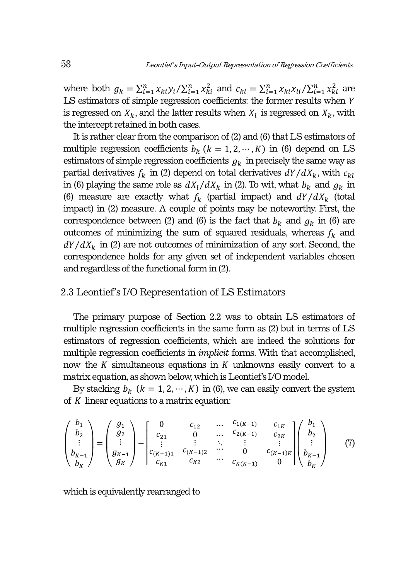where both  $g_k = \sum_{i=1}^n x_{ki} y_i / \sum_{i=1}^n x_{ki}^2$  and  $c_{kl} = \sum_{i=1}^n x_{ki} x_{li} / \sum_{i=1}^n x_{ki}^2$  are  $LS$  estimators of simple regression coefficients: the former results when  $Y$ is regressed on  $X_k$ , and the latter results when  $X_l$  is regressed on  $X_k$ , with the intercept retained in both cases.

It is rather clear from the comparison of (2) and (6) that LS estimators of multiple regression coefficients  $b_k$  ( $k = 1, 2, \dots, K$ ) in (6) depend on LS estimators of simple regression coefficients  $g_k$  in precisely the same way as partial derivatives  $f_k$  in (2) depend on total derivatives  $dY/dX_k$ , with  $c_{kl}$ in (6) playing the same role as  $dX_l/dX_k$  in (2). To wit, what  $b_k$  and  $g_k$  in (6) measure are exactly what  $f_k$  (partial impact) and  $dY/dX_k$  (total impact) in (2) measure. A couple of points may be noteworthy. First, the correspondence between (2) and (6) is the fact that  $b_k$  and  $g_k$  in (6) are outcomes of minimizing the sum of squared residuals, whereas  $f_k$  and  $dY/dX_k$  in (2) are not outcomes of minimization of any sort. Second, the correspondence holds for any given set of independent variables chosen and regardless of the functional form in (2).

#### 2.3 Leontief's I/O Representation of LS Estimators

The primary purpose of Section 2.2 was to obtain LS estimators of multiple regression coefficients in the same form as (2) but in terms of LS estimators of regression coefficients, which are indeed the solutions for multiple regression coefficients in *implicit* forms. With that accomplished, now the  $K$  simultaneous equations in  $K$  unknowns easily convert to a matrix equation, as shown below, which is Leontief's I/O model.

By stacking  $b_k$   $(k = 1, 2, \dots, K)$  in (6), we can easily convert the system of  $K$  linear equations to a matrix equation:

$$
\begin{pmatrix} b_1 \\ b_2 \\ \vdots \\ b_{K-1} \\ b_K \end{pmatrix} = \begin{pmatrix} g_1 \\ g_2 \\ \vdots \\ g_{K-1} \\ g_K \end{pmatrix} - \begin{bmatrix} 0 & c_{12} & \dots & c_{1(K-1)} & c_{1K} \\ c_{21} & 0 & \dots & c_{2(K-1)} & c_{2K} \\ \vdots & \vdots & \ddots & \vdots & \vdots \\ c_{(K-1)1} & c_{(K-1)2} & \dots & 0 & c_{(K-1)K} \\ c_{K1} & c_{K2} & \dots & c_{K(K-1)} & 0 \end{bmatrix} \begin{pmatrix} b_1 \\ b_2 \\ \vdots \\ b_K \end{pmatrix}
$$
(7)

which is equivalently rearranged to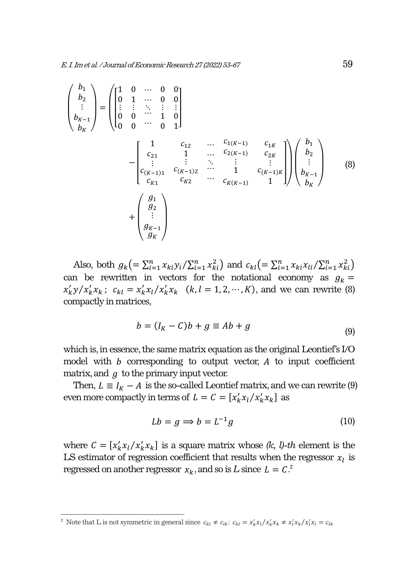$$
\begin{pmatrix} b_1 \\ b_2 \\ \vdots \\ b_{K-1} \\ b_K \end{pmatrix} = \begin{pmatrix} 1 & 0 & \cdots & 0 & 0 \\ 0 & 1 & \cdots & 0 & 0 \\ \vdots & \vdots & \ddots & \vdots & \vdots \\ 0 & 0 & \cdots & 1 & 0 \\ 0 & 0 & \cdots & 0 & 1 \end{pmatrix}
$$

$$
- \begin{bmatrix} 1 & c_{12} & \cdots & c_{1(K-1)} & c_{1K} \\ c_{21} & 1 & \cdots & c_{2(K-1)} & c_{2K} \\ \vdots & \vdots & \ddots & \vdots & \vdots \\ c_{(K-1)1} & c_{(K-1)2} & \cdots & 1 & c_{(K-1)K} \\ c_{K1} & c_{K2} & \cdots & c_{K(K-1)} & 1 \end{bmatrix} \begin{pmatrix} b_1 \\ b_2 \\ \vdots \\ b_{K-1} \\ b_K \end{pmatrix}
$$
(8)
$$
+ \begin{pmatrix} g_1 \\ g_2 \\ \vdots \\ g_{K-1} \\ g_K \end{pmatrix}
$$

Also, both  $g_k = \sum_{i=1}^n x_{ki} y_i / \sum_{i=1}^n x_{ki}^2$  and  $c_{kl} = \sum_{i=1}^n x_{ki} x_{li} / \sum_{i=1}^n x_{ki}^2$ can be rewritten in vectors for the notational economy as  $g_k =$  $x'_{k}y/x'_{k}x_{k}$ ;  $c_{kl} = x'_{k}x_{l}/x'_{k}x_{k}$   $(k, l = 1, 2, \cdots, K)$ , and we can rewrite (8) compactly in matrices,

$$
b = (I_K - C)b + g \equiv Ab + g \tag{9}
$$

which is, in essence, the same matrix equation as the original Leontief's I/O model with  $b$  corresponding to output vector,  $A$  to input coefficient matrix, and  $q$  to the primary input vector.

Then,  $L \equiv I_K - A$  is the so-called Leontief matrix, and we can rewrite (9) even more compactly in terms of  $L = C = [x'_k x_l / x'_k x_k]$  as

$$
Lb = g \Longrightarrow b = L^{-1}g \tag{10}
$$

where  $C = [x'_k x_l / x'_k x_k]$  is a square matrix whose  $(k, l)$ -th element is the LS estimator of regression coefficient that results when the regressor  $x_i$  is regressed on another regressor  $x_k$ , and so is *L* since  $L = C<sup>2</sup>$ .

<sup>&</sup>lt;sup>2</sup> Note that L is not symmetric in general since  $c_{kl} \neq c_{lk}$ :  $c_{kl} = x'_k x_l / x'_k x_k \neq x'_l x_k / x'_l x_l = c_{lk}$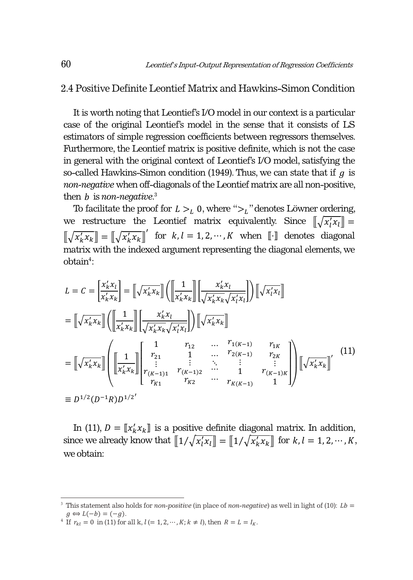#### 2.4 Positive Definite Leontief Matrix and Hawkins-Simon Condition

It is worth noting that Leontief's I/O model in our context is a particular case of the original Leontief's model in the sense that it consists of LS estimators of simple regression coefficients between regressors themselves. Furthermore, the Leontief matrix is positive definite, which is not the case in general with the original context of Leontief's I/O model, satisfying the so-called Hawkins-Simon condition (1949). Thus, we can state that if  $q$  is *non-negative* when off-diagonals of the Leontief matrix are all non-positive, then *b* is *non-negative*.<sup>3</sup>

To facilitate the proof for  $L > L_0$ , where " $>L$ " denotes Löwner ordering, we restructure the Leontief matrix equivalently. Since  $[\![\sqrt{x_i'x_l}]\!] =$  $[\![\sqrt{x_k'x_k}]\!] = [\![\sqrt{x_k'x_k}]\!]'$  for  $k, l = 1, 2, \cdots, K$  when  $[\![\cdot]\!]$  denotes diagonal matrix with the indexed argument representing the diagonal elements, we  $obtain<sup>4</sup>$ :

$$
L = C = \left[\frac{x'_k x_l}{x'_k x_k}\right] = \left[\sqrt{x'_k x_k}\right] \left(\left[\frac{1}{x'_k x_k}\right]\right] \left[\frac{x'_k x_l}{\sqrt{x'_k x_k}\sqrt{x'_l x_l}}\right] \right) \left[\sqrt{x'_l x_l}\right]
$$

$$
= \left[\sqrt{x'_k x_k}\right] \left(\left[\frac{1}{x'_k x_k}\right]\right] \left[\frac{x'_k x_l}{\sqrt{x'_k x_k}\sqrt{x'_l x_l}}\right] \right) \left[\sqrt{x'_k x_k}\right]
$$

$$
= \left[\sqrt{x'_k x_k}\right] \left(\left[\frac{1}{x'_k x_k}\right]\right] \left[\begin{array}{ccc} 1 & r_{12} & \dots & r_{1(K-1)} & r_{1K} \\ r_{21} & 1 & \dots & r_{2(K-1)} & r_{2K} \\ \vdots & \vdots & \ddots & \vdots & \vdots \\ r_{K-1} & r_{K-1} & 1 & r_{K-1} \\ r_{K1} & r_{K2} & \dots & r_{K(K-1)} & 1 \end{array}\right] \right) \left[\sqrt{x'_k x_k}\right]'
$$
(11)
$$
\equiv D^{1/2}(D^{-1}R)D^{1/2'}
$$

In (11),  $D = \llbracket x'_k x_k \rrbracket$  is a positive definite diagonal matrix. In addition, since we already know that  $\llbracket 1/\sqrt{x_i'x_i} \rrbracket = \llbracket 1/\sqrt{x_k'x_k} \rrbracket$  for  $k, l = 1, 2, \dots, K$ , we obtain:

<sup>&</sup>lt;sup>3</sup> This statement also holds for *non-positive* (in place of *non-negative*) as well in light of (10):  $Lb =$ 

 $g \Leftrightarrow L(-b) = (-g)$ .<br>
<sup>4</sup> If  $r_{kl} = 0$  in (11) for all k,  $l (= 1, 2, \dots, K; k \neq l)$ , then  $R = L = I_K$ .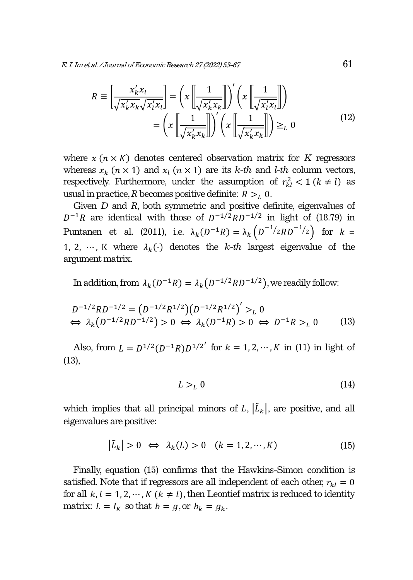$$
R \equiv \left[ \frac{x'_k x_l}{\sqrt{x'_k x_k} \sqrt{x'_l x_l}} \right] = \left( x \left[ \frac{1}{\sqrt{x'_k x_k}} \right] \right)' \left( x \left[ \frac{1}{\sqrt{x'_l x_l}} \right] \right)
$$

$$
= \left( x \left[ \frac{1}{\sqrt{x'_k x_k}} \right] \right)' \left( x \left[ \frac{1}{\sqrt{x'_k x_k}} \right] \right) \geq_L 0
$$
(12)

where  $x (n \times K)$  denotes centered observation matrix for  $K$  regressors whereas  $x_k$  ( $n \times 1$ ) and  $x_l$  ( $n \times 1$ ) are its *k-th* and *l-th* column vectors, respectively. Furthermore, under the assumption of  $r_{kl}^2 < 1$  ( $k \neq l$ ) as usual in practice, *R* becomes positive definite:  $R > L_0$ .

Given *D* and *R*, both symmetric and positive definite, eigenvalues of  $D^{-1}R$  are identical with those of  $D^{-1/2}RD^{-1/2}$  in light of (18.79) in Puntanen et al. (2011), i.e.  $\lambda_k(D^{-1}R) = \lambda_k(D^{-1}/2RD^{-1}/2})$  for  $k =$ 1, 2, …, K where  $\lambda_k(\cdot)$  denotes the *k-th* largest eigenvalue of the argument matrix.

In addition, from  $\lambda_k(D^{-1}R) = \lambda_k(D^{-1/2}RD^{-1/2})$ , we readily follow:

$$
D^{-1/2}RD^{-1/2} = (D^{-1/2}R^{1/2})(D^{-1/2}R^{1/2})' >_L 0
$$
  
\n
$$
\Leftrightarrow \lambda_k(D^{-1/2}RD^{-1/2}) > 0 \Leftrightarrow \lambda_k(D^{-1}R) > 0 \Leftrightarrow D^{-1}R >_L 0
$$
 (13)

Also, from  $L = D^{1/2}(D^{-1}R)D^{1/2}$  for  $k = 1, 2, \dots, K$  in (11) in light of (13),

$$
L >_L 0 \tag{14}
$$

which implies that all principal minors of  $L$ ,  $|\tilde{L}_k|$ , are positive, and all eigenvalues are positive:

$$
|\tilde{L}_k| > 0 \iff \lambda_k(L) > 0 \quad (k = 1, 2, \cdots, K)
$$
 (15)

Finally, equation (15) confirms that the Hawkins-Simon condition is satisfied. Note that if regressors are all independent of each other,  $r_{kl} = 0$ for all  $k, l = 1, 2, \dots, K$  ( $k \neq l$ ), then Leontief matrix is reduced to identity matrix:  $L = I_K$  so that  $b = g$ , or  $b_k = g_k$ .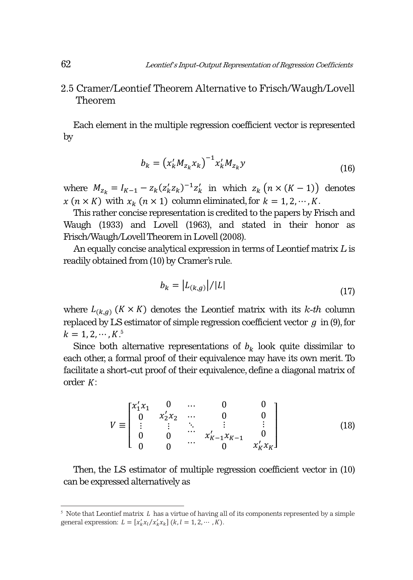### 2.5 Cramer/Leontief Theorem Alternative to Frisch/Waugh/Lovell Theorem

Each element in the multiple regression coefficient vector is represented by

$$
b_k = (x'_k M_{z_k} x_k)^{-1} x'_k M_{z_k} y
$$
\n(16)

where  $M_{z_k} = I_{K-1} - z_k (z'_k z_k)^{-1} z'_k$  in which  $z_k (n \times (K-1))$  denotes  $x (n \times K)$  with  $x_k (n \times 1)$  column eliminated, for  $k = 1, 2, \dots, K$ .

This rather concise representation is credited to the papers by Frisch and Waugh (1933) and Lovell (1963), and stated in their honor as Frisch/Waugh/Lovell Theorem in Lovell (2008).

An equally concise analytical expression in terms of Leontief matrix *L* is readily obtained from (10) by Cramer's rule.

$$
b_k = \left| L_{(k,g)} \right| / |L| \tag{17}
$$

where  $L_{(k,q)}$  ( $K \times K$ ) denotes the Leontief matrix with its  $k$ -th column replaced by LS estimator of simple regression coefficient vector  $g$  in (9), for  $k = 1, 2, \cdots, K^{5}$ 

Since both alternative representations of  $b_k$  look quite dissimilar to each other, a formal proof of their equivalence may have its own merit. To facilitate a short-cut proof of their equivalence, define a diagonal matrix of order  $K$ :

$$
V \equiv \begin{bmatrix} x_1' x_1 & 0 & \cdots & 0 & 0 \\ 0 & x_2' x_2 & \cdots & 0 & 0 \\ \vdots & \vdots & \ddots & \vdots & \vdots \\ 0 & 0 & \cdots & x_{K-1}' x_{K-1} & 0 \\ 0 & 0 & \cdots & 0 & x_K' x_K \end{bmatrix}
$$
(18)

Then, the LS estimator of multiple regression coefficient vector in (10) can be expressed alternatively as

 $5$  Note that Leontief matrix  $L$  has a virtue of having all of its components represented by a simple general expression:  $L = [x_k' x_l / x_k' x_k]$   $(k, l = 1, 2, \cdots, K)$ .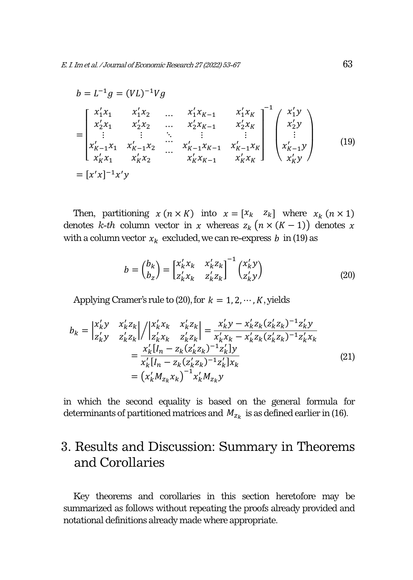$$
b = L^{-1}g = (VL)^{-1}Vg
$$
  
\n
$$
= \begin{bmatrix} x'_1x_1 & x'_1x_2 & \dots & x'_1x_{K-1} & x'_1x_K \\ x'_2x_1 & x'_2x_2 & \dots & x'_2x_{K-1} & x'_2x_K \\ \vdots & \vdots & \ddots & \vdots & \vdots \\ x'_{K-1}x_1 & x'_{K-1}x_2 & \dots & x'_{K-1}x_{K-1} & x'_{K-1}x_K \\ x'_Kx_1 & x'_Kx_2 & \dots & x'_Kx_{K-1} & x'_Kx_K \end{bmatrix}^{-1} \begin{pmatrix} x'_1y \\ x'_2y \\ \vdots \\ x'_{K-1}y \\ x'_Ky \end{pmatrix}
$$
 (19)  
\n
$$
= [x'x]^{-1}x'y
$$

Then, partitioning  $x (n \times K)$  into  $x = [x_k \ z_k]$  where  $x_k (n \times 1)$ denotes *k-th* column vector in x whereas  $z_k$   $(n \times (K-1))$  denotes x with a column vector  $x_k$  excluded, we can re-express  $b$  in (19) as

$$
b = \begin{pmatrix} b_k \\ b_z \end{pmatrix} = \begin{bmatrix} x'_k x_k & x'_k z_k \\ z'_k x_k & z'_k z_k \end{bmatrix}^{-1} \begin{pmatrix} x'_k y \\ z'_k y \end{pmatrix}
$$
 (20)

Applying Cramer's rule to  $(20)$ , for  $k = 1, 2, \dots, K$ , yields

$$
b_{k} = \begin{vmatrix} x_{k}'y & x_{k}'z_{k} \\ z_{k}'y & z_{k}'z_{k} \end{vmatrix} / \begin{vmatrix} x_{k}'x_{k} & x_{k}'z_{k} \\ z_{k}'x_{k} & z_{k}'z_{k} \end{vmatrix} = \frac{x_{k}'y - x_{k}'z_{k}(z_{k}'z_{k})^{-1}z_{k}'y}{x_{k}'x_{k} - x_{k}'z_{k}(z_{k}'z_{k})^{-1}z_{k}'x_{k}} = \frac{x_{k}'[I_{n} - z_{k}(z_{k}'z_{k})^{-1}z_{k}']y}{x_{k}'[I_{n} - z_{k}(z_{k}'z_{k})^{-1}z_{k}']x_{k}} = (x_{k}'M_{z_{k}}x_{k})^{-1}x_{k}'M_{z_{k}}y
$$
(21)

in which the second equality is based on the general formula for determinants of partitioned matrices and  $M_{z_k}$  is as defined earlier in (16).

# 3. Results and Discussion: Summary in Theorems and Corollaries

Key theorems and corollaries in this section heretofore may be summarized as follows without repeating the proofs already provided and notational definitions already made where appropriate.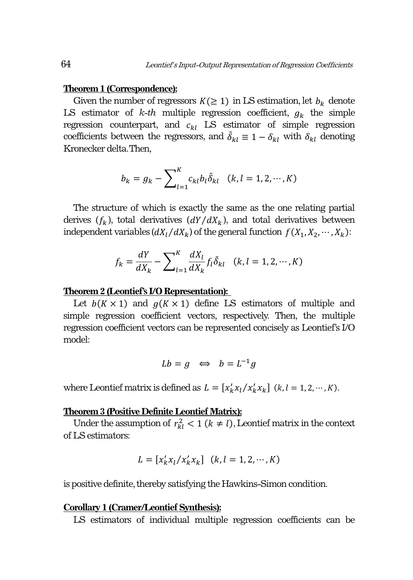#### **Theorem 1 (Correspondence):**

Given the number of regressors  $K(\geq 1)$  in LS estimation, let  $b_k$  denote LS estimator of  $k-th$  multiple regression coefficient,  $g_k$  the simple regression counterpart, and  $c_{kl}$  LS estimator of simple regression coefficients between the regressors, and  $\delta_{kl} \equiv 1 - \delta_{kl}$  with  $\delta_{kl}$  denoting Kronecker delta. Then,

$$
b_k = g_k - \sum_{l=1}^{K} c_{kl} b_l \tilde{\delta}_{kl} \quad (k, l = 1, 2, \cdots, K)
$$

The structure of which is exactly the same as the one relating partial derives  $(f_k)$ , total derivatives  $(dY/dX_k)$ , and total derivatives between independent variables  $\left(\frac{dX_l}{dX_k}\right)$  of the general function  $f(X_1, X_2, \dots, X_k)$ :

$$
f_k = \frac{dY}{dX_k} - \sum_{l=1}^{K} \frac{dX_l}{dX_k} f_l \delta_{kl} \quad (k, l = 1, 2, \cdots, K)
$$

#### **Theorem 2 (Leontief's I/O Representation):**

Let  $b(K \times 1)$  and  $g(K \times 1)$  define LS estimators of multiple and simple regression coefficient vectors, respectively. Then, the multiple regression coefficient vectors can be represented concisely as Leontief's I/O model:

$$
Lb = g \iff b = L^{-1}g
$$

where Leontief matrix is defined as  $L = [x'_k x_l / x'_k x_k]$   $(k, l = 1, 2, \dots, K)$ .

#### **Theorem 3 (Positive Definite Leontief Matrix):**

Under the assumption of  $r_{kl}^2 < 1$  ( $k \neq l$ ), Leontief matrix in the context of LS estimators:

$$
L = [x'_k x_l / x'_k x_k] \quad (k, l = 1, 2, \cdots, K)
$$

is positive definite, thereby satisfying the Hawkins-Simon condition.

#### **Corollary 1 (Cramer/Leontief Synthesis):**

LS estimators of individual multiple regression coefficients can be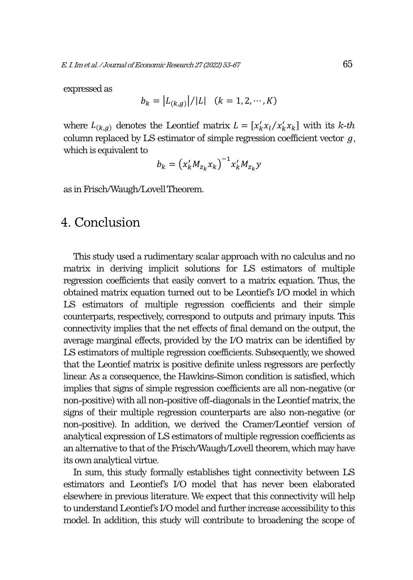expressed as

$$
b_k = |L_{(k,g)}| / |L| \quad (k = 1, 2, \cdots, K)
$$

where  $L_{(k,g)}$  denotes the Leontief matrix  $L = [x'_k x_l / x'_k x_k]$  with its *k-th* column replaced by LS estimator of simple regression coefficient vector  $q$ , which is equivalent to

$$
b_k = \left(x_k' M_{z_k} x_k\right)^{-1} x_k' M_{z_k} y
$$

as in Frisch/Waugh/Lovell Theorem.

# 4. Conclusion

This study used a rudimentary scalar approach with no calculus and no matrix in deriving implicit solutions for LS estimators of multiple regression coefficients that easily convert to a matrix equation. Thus, the obtained matrix equation turned out to be Leontief's I/O model in which LS estimators of multiple regression coefficients and their simple counterparts, respectively, correspond to outputs and primary inputs. This connectivity implies that the net effects of final demand on the output, the average marginal effects, provided by the I/O matrix can be identified by LS estimators of multiple regression coefficients. Subsequently, we showed that the Leontief matrix is positive definite unless regressors are perfectly linear. As a consequence, the Hawkins-Simon condition is satisfied, which implies that signs of simple regression coefficients are all non-negative (or non-positive) with all non-positive off-diagonals in the Leontief matrix, the signs of their multiple regression counterparts are also non-negative (or non-positive). In addition, we derived the Cramer/Leontief version of analytical expression of LS estimators of multiple regression coefficients as an alternative to that of the Frisch/Waugh/Lovell theorem, which may have its own analytical virtue.

In sum, this study formally establishes tight connectivity between LS estimators and Leontief's I/O model that has never been elaborated elsewhere in previous literature. We expect that this connectivity will help to understand Leontief's I/O model and further increase accessibility to this model. In addition, this study will contribute to broadening the scope of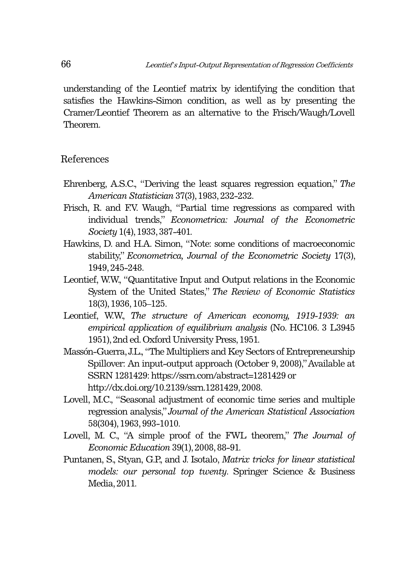understanding of the Leontief matrix by identifying the condition that satisfies the Hawkins-Simon condition, as well as by presenting the Cramer/Leontief Theorem as an alternative to the Frisch/Waugh/Lovell Theorem.

#### References

- Ehrenberg, A.S.C., "Deriving the least squares regression equation," *The American Statistician* 37(3), 1983, 232-232.
- Frisch, R. and F.V. Waugh, "Partial time regressions as compared with individual trends," *Econometrica: Journal of the Econometric Society* 1(4), 1933, 387-401.
- Hawkins, D. and H.A. Simon, "Note: some conditions of macroeconomic stability," *Econometrica, Journal of the Econometric Society* 17(3), 1949, 245-248.
- Leontief, W.W., "Quantitative Input and Output relations in the Economic System of the United States," *The Review of Economic Statistics* 18(3), 1936, 105–125.
- Leontief, W.W., *The structure of American economy, 1919-1939: an empirical application of equilibrium analysis* (No. HC106. 3 L3945 1951), 2nd ed. Oxford University Press, 1951.
- Massón-Guerra, J.L., "The Multipliers and Key Sectors of Entrepreneurship Spillover: An input-output approach (October 9, 2008)," Available at SSRN 1281429: https://ssrn.com/abstract=1281429 or http://dx.doi.org/10.2139/ssrn.1281429, 2008.
- Lovell, M.C., "Seasonal adjustment of economic time series and multiple regression analysis," *Journal of the American Statistical Association* 58(304), 1963, 993-1010.
- Lovell, M. C., "A simple proof of the FWL theorem," *The Journal of Economic Education* 39(1), 2008, 88-91.
- Puntanen, S., Styan, G.P., and J. Isotalo, *Matrix tricks for linear statistical models: our personal top twenty*. Springer Science & Business Media, 2011.